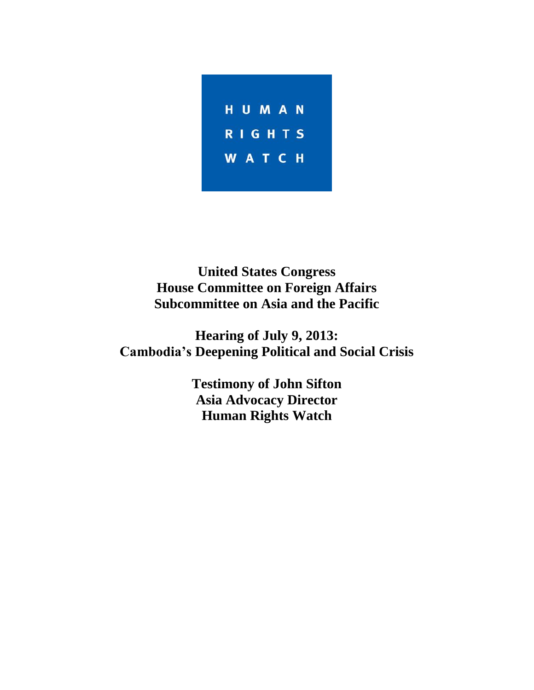

**United States Congress House Committee on Foreign Affairs Subcommittee on Asia and the Pacific**

**Hearing of July 9, 2013: Cambodia's Deepening Political and Social Crisis**

> **Testimony of John Sifton Asia Advocacy Director Human Rights Watch**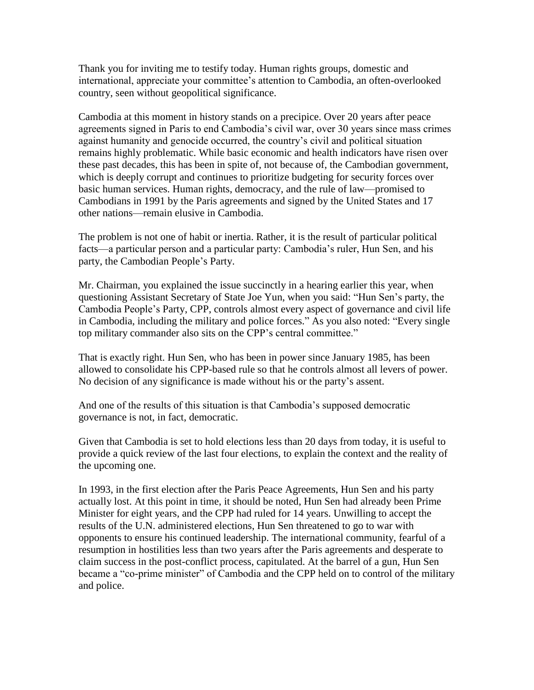Thank you for inviting me to testify today. Human rights groups, domestic and international, appreciate your committee's attention to Cambodia, an often-overlooked country, seen without geopolitical significance.

Cambodia at this moment in history stands on a precipice. Over 20 years after peace agreements signed in Paris to end Cambodia's civil war, over 30 years since mass crimes against humanity and genocide occurred, the country's civil and political situation remains highly problematic. While basic economic and health indicators have risen over these past decades, this has been in spite of, not because of, the Cambodian government, which is deeply corrupt and continues to prioritize budgeting for security forces over basic human services. Human rights, democracy, and the rule of law—promised to Cambodians in 1991 by the Paris agreements and signed by the United States and 17 other nations—remain elusive in Cambodia.

The problem is not one of habit or inertia. Rather, it is the result of particular political facts—a particular person and a particular party: Cambodia's ruler, Hun Sen, and his party, the Cambodian People's Party.

Mr. Chairman, you explained the issue succinctly in a hearing earlier this year, when questioning Assistant Secretary of State Joe Yun, when you said: "Hun Sen's party, the Cambodia People's Party, CPP, controls almost every aspect of governance and civil life in Cambodia, including the military and police forces." As you also noted: "Every single top military commander also sits on the CPP's central committee."

That is exactly right. Hun Sen, who has been in power since January 1985, has been allowed to consolidate his CPP-based rule so that he controls almost all levers of power. No decision of any significance is made without his or the party's assent.

And one of the results of this situation is that Cambodia's supposed democratic governance is not, in fact, democratic.

Given that Cambodia is set to hold elections less than 20 days from today, it is useful to provide a quick review of the last four elections, to explain the context and the reality of the upcoming one.

In 1993, in the first election after the Paris Peace Agreements, Hun Sen and his party actually lost. At this point in time, it should be noted, Hun Sen had already been Prime Minister for eight years, and the CPP had ruled for 14 years. Unwilling to accept the results of the U.N. administered elections, Hun Sen threatened to go to war with opponents to ensure his continued leadership. The international community, fearful of a resumption in hostilities less than two years after the Paris agreements and desperate to claim success in the post-conflict process, capitulated. At the barrel of a gun, Hun Sen became a "co-prime minister" of Cambodia and the CPP held on to control of the military and police.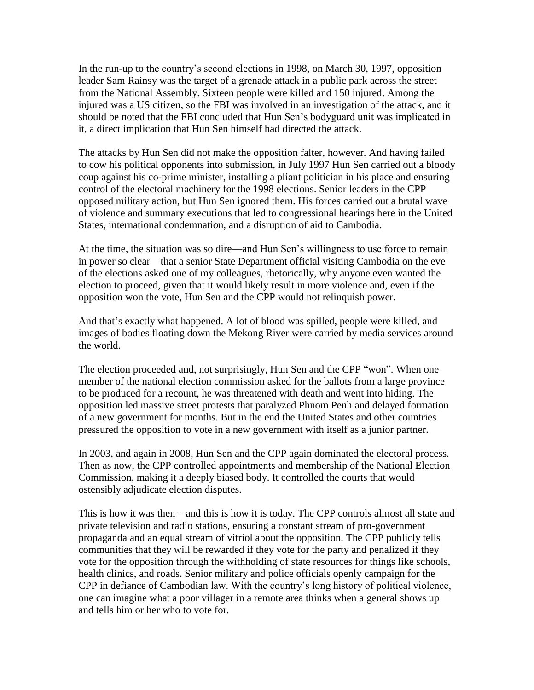In the run-up to the country's second elections in 1998, on March 30, 1997, opposition leader Sam Rainsy was the target of a grenade attack in a public park across the street from the National Assembly. Sixteen people were killed and 150 injured. Among the injured was a US citizen, so the FBI was involved in an investigation of the attack, and it should be noted that the FBI concluded that Hun Sen's bodyguard unit was implicated in it, a direct implication that Hun Sen himself had directed the attack.

The attacks by Hun Sen did not make the opposition falter, however. And having failed to cow his political opponents into submission, in July 1997 Hun Sen carried out a bloody coup against his co-prime minister, installing a pliant politician in his place and ensuring control of the electoral machinery for the 1998 elections. Senior leaders in the CPP opposed military action, but Hun Sen ignored them. His forces carried out a brutal wave of violence and summary executions that led to congressional hearings here in the United States, international condemnation, and a disruption of aid to Cambodia.

At the time, the situation was so dire—and Hun Sen's willingness to use force to remain in power so clear—that a senior State Department official visiting Cambodia on the eve of the elections asked one of my colleagues, rhetorically, why anyone even wanted the election to proceed, given that it would likely result in more violence and, even if the opposition won the vote, Hun Sen and the CPP would not relinquish power.

And that's exactly what happened. A lot of blood was spilled, people were killed, and images of bodies floating down the Mekong River were carried by media services around the world.

The election proceeded and, not surprisingly, Hun Sen and the CPP "won". When one member of the national election commission asked for the ballots from a large province to be produced for a recount, he was threatened with death and went into hiding. The opposition led massive street protests that paralyzed Phnom Penh and delayed formation of a new government for months. But in the end the United States and other countries pressured the opposition to vote in a new government with itself as a junior partner.

In 2003, and again in 2008, Hun Sen and the CPP again dominated the electoral process. Then as now, the CPP controlled appointments and membership of the National Election Commission, making it a deeply biased body. It controlled the courts that would ostensibly adjudicate election disputes.

This is how it was then – and this is how it is today. The CPP controls almost all state and private television and radio stations, ensuring a constant stream of pro-government propaganda and an equal stream of vitriol about the opposition. The CPP publicly tells communities that they will be rewarded if they vote for the party and penalized if they vote for the opposition through the withholding of state resources for things like schools, health clinics, and roads. Senior military and police officials openly campaign for the CPP in defiance of Cambodian law. With the country's long history of political violence, one can imagine what a poor villager in a remote area thinks when a general shows up and tells him or her who to vote for.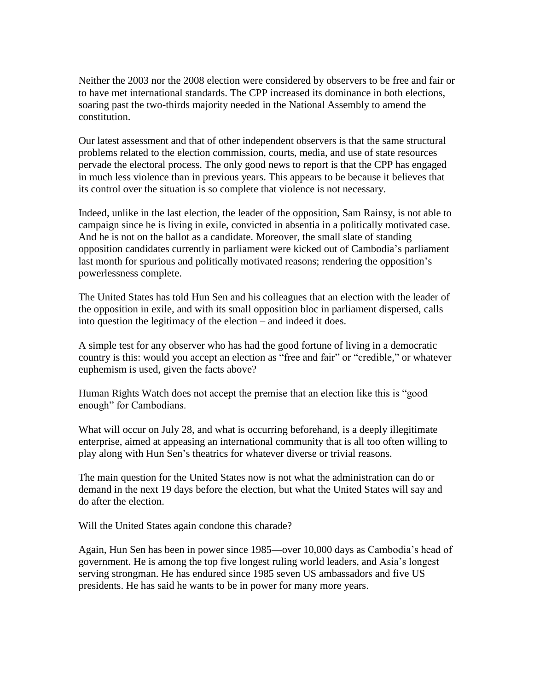Neither the 2003 nor the 2008 election were considered by observers to be free and fair or to have met international standards. The CPP increased its dominance in both elections, soaring past the two-thirds majority needed in the National Assembly to amend the constitution.

Our latest assessment and that of other independent observers is that the same structural problems related to the election commission, courts, media, and use of state resources pervade the electoral process. The only good news to report is that the CPP has engaged in much less violence than in previous years. This appears to be because it believes that its control over the situation is so complete that violence is not necessary.

Indeed, unlike in the last election, the leader of the opposition, Sam Rainsy, is not able to campaign since he is living in exile, convicted in absentia in a politically motivated case. And he is not on the ballot as a candidate. Moreover, the small slate of standing opposition candidates currently in parliament were kicked out of Cambodia's parliament last month for spurious and politically motivated reasons; rendering the opposition's powerlessness complete.

The United States has told Hun Sen and his colleagues that an election with the leader of the opposition in exile, and with its small opposition bloc in parliament dispersed, calls into question the legitimacy of the election – and indeed it does.

A simple test for any observer who has had the good fortune of living in a democratic country is this: would you accept an election as "free and fair" or "credible," or whatever euphemism is used, given the facts above?

Human Rights Watch does not accept the premise that an election like this is "good enough" for Cambodians.

What will occur on July 28, and what is occurring beforehand, is a deeply illegitimate enterprise, aimed at appeasing an international community that is all too often willing to play along with Hun Sen's theatrics for whatever diverse or trivial reasons.

The main question for the United States now is not what the administration can do or demand in the next 19 days before the election, but what the United States will say and do after the election.

Will the United States again condone this charade?

Again, Hun Sen has been in power since 1985—over 10,000 days as Cambodia's head of government. He is among the top five longest ruling world leaders, and Asia's longest serving strongman. He has endured since 1985 seven US ambassadors and five US presidents. He has said he wants to be in power for many more years.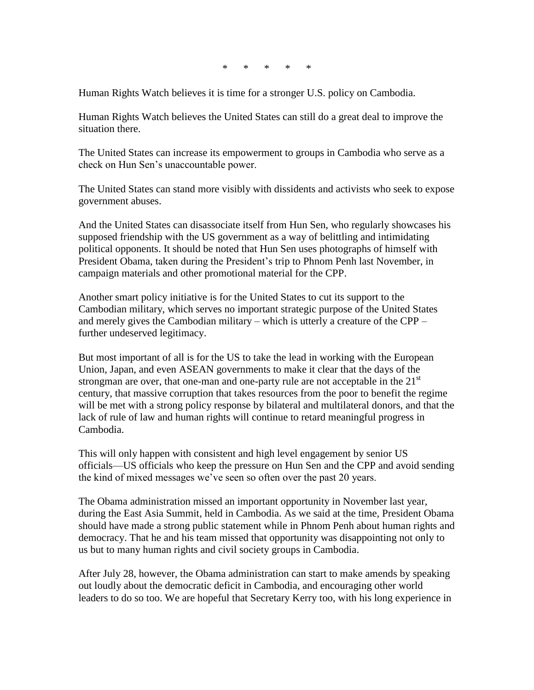\* \* \* \* \*

Human Rights Watch believes it is time for a stronger U.S. policy on Cambodia.

Human Rights Watch believes the United States can still do a great deal to improve the situation there.

The United States can increase its empowerment to groups in Cambodia who serve as a check on Hun Sen's unaccountable power.

The United States can stand more visibly with dissidents and activists who seek to expose government abuses.

And the United States can disassociate itself from Hun Sen, who regularly showcases his supposed friendship with the US government as a way of belittling and intimidating political opponents. It should be noted that Hun Sen uses photographs of himself with President Obama, taken during the President's trip to Phnom Penh last November, in campaign materials and other promotional material for the CPP.

Another smart policy initiative is for the United States to cut its support to the Cambodian military, which serves no important strategic purpose of the United States and merely gives the Cambodian military – which is utterly a creature of the CPP – further undeserved legitimacy.

But most important of all is for the US to take the lead in working with the European Union, Japan, and even ASEAN governments to make it clear that the days of the strongman are over, that one-man and one-party rule are not acceptable in the  $21<sup>st</sup>$ century, that massive corruption that takes resources from the poor to benefit the regime will be met with a strong policy response by bilateral and multilateral donors, and that the lack of rule of law and human rights will continue to retard meaningful progress in Cambodia.

This will only happen with consistent and high level engagement by senior US officials—US officials who keep the pressure on Hun Sen and the CPP and avoid sending the kind of mixed messages we've seen so often over the past 20 years.

The Obama administration missed an important opportunity in November last year, during the East Asia Summit, held in Cambodia. As we said at the time, President Obama should have made a strong public statement while in Phnom Penh about human rights and democracy. That he and his team missed that opportunity was disappointing not only to us but to many human rights and civil society groups in Cambodia.

After July 28, however, the Obama administration can start to make amends by speaking out loudly about the democratic deficit in Cambodia, and encouraging other world leaders to do so too. We are hopeful that Secretary Kerry too, with his long experience in